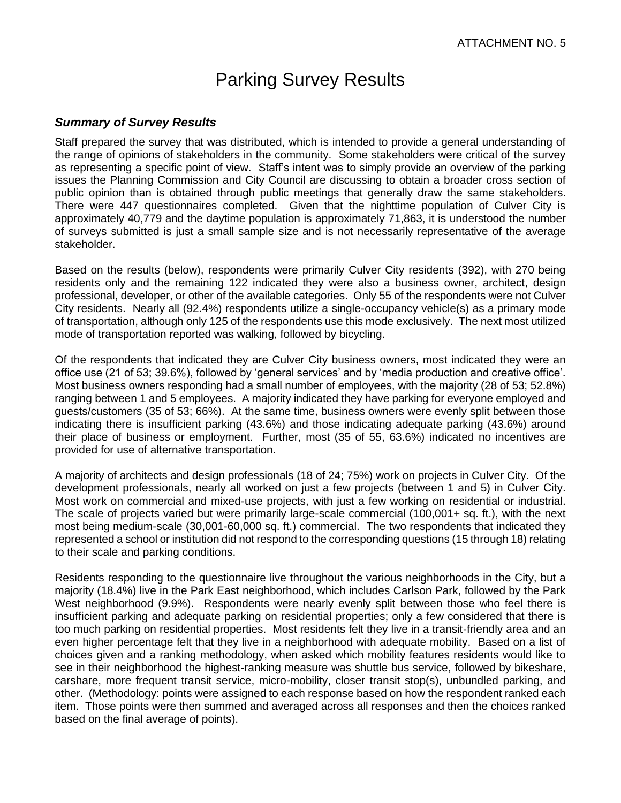## Parking Survey Results

## *Summary of Survey Results*

Staff prepared the survey that was distributed, which is intended to provide a general understanding of the range of opinions of stakeholders in the community. Some stakeholders were critical of the survey as representing a specific point of view. Staff's intent was to simply provide an overview of the parking issues the Planning Commission and City Council are discussing to obtain a broader cross section of public opinion than is obtained through public meetings that generally draw the same stakeholders. There were 447 questionnaires completed. Given that the nighttime population of Culver City is approximately 40,779 and the daytime population is approximately 71,863, it is understood the number of surveys submitted is just a small sample size and is not necessarily representative of the average stakeholder.

Based on the results (below), respondents were primarily Culver City residents (392), with 270 being residents only and the remaining 122 indicated they were also a business owner, architect, design professional, developer, or other of the available categories. Only 55 of the respondents were not Culver City residents. Nearly all (92.4%) respondents utilize a single-occupancy vehicle(s) as a primary mode of transportation, although only 125 of the respondents use this mode exclusively. The next most utilized mode of transportation reported was walking, followed by bicycling.

Of the respondents that indicated they are Culver City business owners, most indicated they were an office use (21 of 53; 39.6%), followed by 'general services' and by 'media production and creative office'. Most business owners responding had a small number of employees, with the majority (28 of 53; 52.8%) ranging between 1 and 5 employees. A majority indicated they have parking for everyone employed and guests/customers (35 of 53; 66%). At the same time, business owners were evenly split between those indicating there is insufficient parking (43.6%) and those indicating adequate parking (43.6%) around their place of business or employment. Further, most (35 of 55, 63.6%) indicated no incentives are provided for use of alternative transportation.

A majority of architects and design professionals (18 of 24; 75%) work on projects in Culver City. Of the development professionals, nearly all worked on just a few projects (between 1 and 5) in Culver City. Most work on commercial and mixed-use projects, with just a few working on residential or industrial. The scale of projects varied but were primarily large-scale commercial (100,001+ sq. ft.), with the next most being medium-scale (30,001-60,000 sq. ft.) commercial. The two respondents that indicated they represented a school or institution did not respond to the corresponding questions (15 through 18) relating to their scale and parking conditions.

Residents responding to the questionnaire live throughout the various neighborhoods in the City, but a majority (18.4%) live in the Park East neighborhood, which includes Carlson Park, followed by the Park West neighborhood (9.9%). Respondents were nearly evenly split between those who feel there is insufficient parking and adequate parking on residential properties; only a few considered that there is too much parking on residential properties. Most residents felt they live in a transit-friendly area and an even higher percentage felt that they live in a neighborhood with adequate mobility. Based on a list of choices given and a ranking methodology, when asked which mobility features residents would like to see in their neighborhood the highest-ranking measure was shuttle bus service, followed by bikeshare, carshare, more frequent transit service, micro-mobility, closer transit stop(s), unbundled parking, and other. (Methodology: points were assigned to each response based on how the respondent ranked each item. Those points were then summed and averaged across all responses and then the choices ranked based on the final average of points).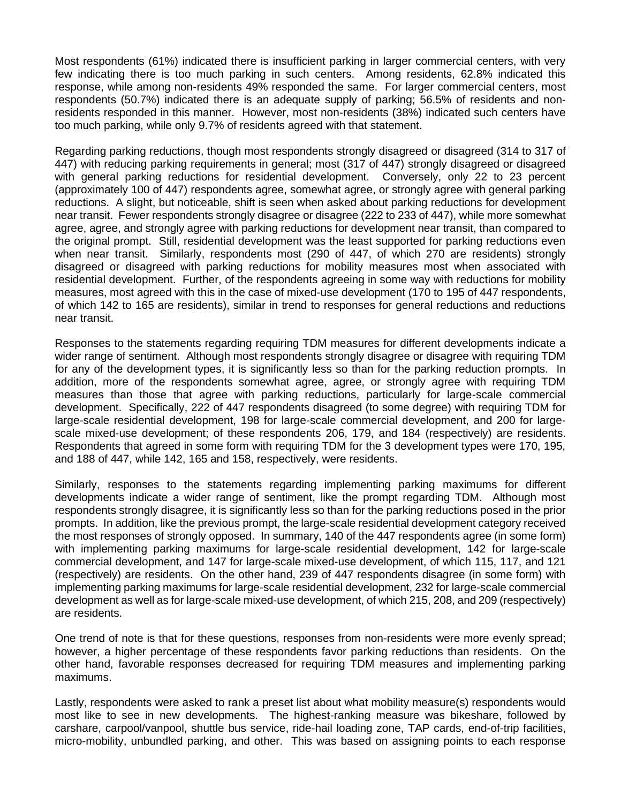Most respondents (61%) indicated there is insufficient parking in larger commercial centers, with very few indicating there is too much parking in such centers. Among residents, 62.8% indicated this response, while among non-residents 49% responded the same. For larger commercial centers, most respondents (50.7%) indicated there is an adequate supply of parking; 56.5% of residents and nonresidents responded in this manner. However, most non-residents (38%) indicated such centers have too much parking, while only 9.7% of residents agreed with that statement.

Regarding parking reductions, though most respondents strongly disagreed or disagreed (314 to 317 of 447) with reducing parking requirements in general; most (317 of 447) strongly disagreed or disagreed with general parking reductions for residential development. Conversely, only 22 to 23 percent (approximately 100 of 447) respondents agree, somewhat agree, or strongly agree with general parking reductions. A slight, but noticeable, shift is seen when asked about parking reductions for development near transit. Fewer respondents strongly disagree or disagree (222 to 233 of 447), while more somewhat agree, agree, and strongly agree with parking reductions for development near transit, than compared to the original prompt. Still, residential development was the least supported for parking reductions even when near transit. Similarly, respondents most (290 of 447, of which 270 are residents) strongly disagreed or disagreed with parking reductions for mobility measures most when associated with residential development. Further, of the respondents agreeing in some way with reductions for mobility measures, most agreed with this in the case of mixed-use development (170 to 195 of 447 respondents, of which 142 to 165 are residents), similar in trend to responses for general reductions and reductions near transit.

Responses to the statements regarding requiring TDM measures for different developments indicate a wider range of sentiment. Although most respondents strongly disagree or disagree with requiring TDM for any of the development types, it is significantly less so than for the parking reduction prompts. In addition, more of the respondents somewhat agree, agree, or strongly agree with requiring TDM measures than those that agree with parking reductions, particularly for large-scale commercial development. Specifically, 222 of 447 respondents disagreed (to some degree) with requiring TDM for large-scale residential development, 198 for large-scale commercial development, and 200 for largescale mixed-use development; of these respondents 206, 179, and 184 (respectively) are residents. Respondents that agreed in some form with requiring TDM for the 3 development types were 170, 195, and 188 of 447, while 142, 165 and 158, respectively, were residents.

Similarly, responses to the statements regarding implementing parking maximums for different developments indicate a wider range of sentiment, like the prompt regarding TDM. Although most respondents strongly disagree, it is significantly less so than for the parking reductions posed in the prior prompts. In addition, like the previous prompt, the large-scale residential development category received the most responses of strongly opposed. In summary, 140 of the 447 respondents agree (in some form) with implementing parking maximums for large-scale residential development, 142 for large-scale commercial development, and 147 for large-scale mixed-use development, of which 115, 117, and 121 (respectively) are residents. On the other hand, 239 of 447 respondents disagree (in some form) with implementing parking maximums for large-scale residential development, 232 for large-scale commercial development as well as for large-scale mixed-use development, of which 215, 208, and 209 (respectively) are residents.

One trend of note is that for these questions, responses from non-residents were more evenly spread; however, a higher percentage of these respondents favor parking reductions than residents. On the other hand, favorable responses decreased for requiring TDM measures and implementing parking maximums.

Lastly, respondents were asked to rank a preset list about what mobility measure(s) respondents would most like to see in new developments. The highest-ranking measure was bikeshare, followed by carshare, carpool/vanpool, shuttle bus service, ride-hail loading zone, TAP cards, end-of-trip facilities, micro-mobility, unbundled parking, and other. This was based on assigning points to each response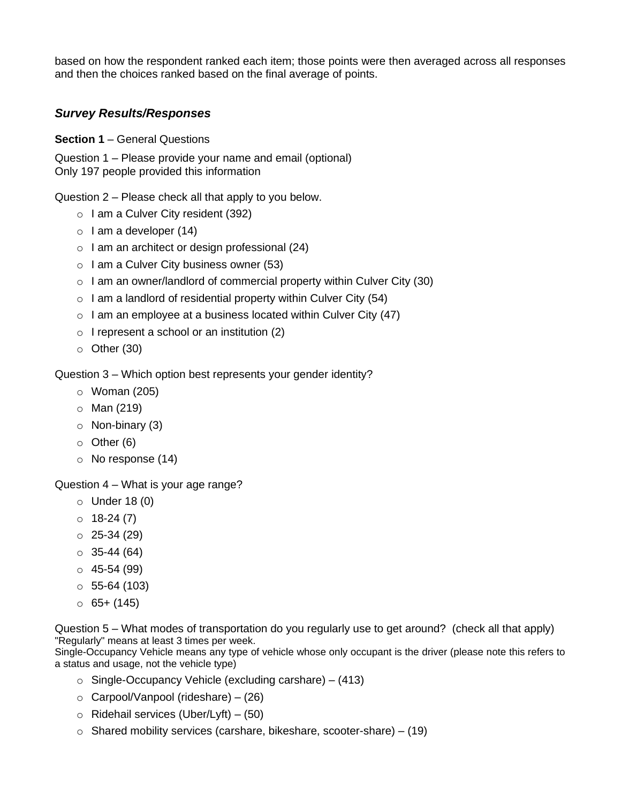based on how the respondent ranked each item; those points were then averaged across all responses and then the choices ranked based on the final average of points.

## *Survey Results/Responses*

**Section 1** – General Questions

Question 1 – Please provide your name and email (optional) Only 197 people provided this information

Question 2 – Please check all that apply to you below.

- $\circ$  I am a Culver City resident (392)
- $\circ$  I am a developer (14)
- o I am an architect or design professional (24)
- $\circ$  I am a Culver City business owner (53)
- $\circ$  I am an owner/landlord of commercial property within Culver City (30)
- $\circ$  I am a landlord of residential property within Culver City (54)
- $\circ$  I am an employee at a business located within Culver City (47)
- $\circ$  I represent a school or an institution (2)
- $\circ$  Other (30)

Question 3 – Which option best represents your gender identity?

- o Woman (205)
- o Man (219)
- o Non-binary (3)
- o Other (6)
- o No response (14)

Question 4 – What is your age range?

- o Under 18 (0)
- $0$  18-24 (7)
- $O$  25-34 (29)
- $\circ$  35-44 (64)
- $045-54(99)$
- $\circ$  55-64 (103)
- $\circ$  65+ (145)

Question 5 – What modes of transportation do you regularly use to get around? (check all that apply) "Regularly" means at least 3 times per week.

Single-Occupancy Vehicle means any type of vehicle whose only occupant is the driver (please note this refers to a status and usage, not the vehicle type)

- $\circ$  Single-Occupancy Vehicle (excluding carshare) (413)
- o Carpool/Vanpool (rideshare) (26)
- $\circ$  Ridehail services (Uber/Lyft) (50)
- $\circ$  Shared mobility services (carshare, bikeshare, scooter-share) (19)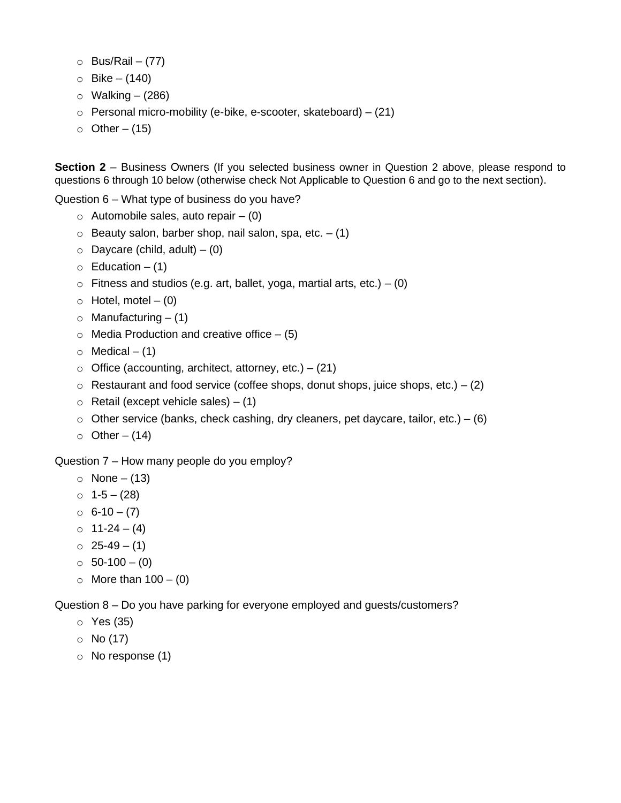- $O$  Bus/Rail (77)
- $O$  Bike (140)
- $\circ$  Walking (286)
- $\circ$  Personal micro-mobility (e-bike, e-scooter, skateboard) (21)
- $\circ$  Other (15)

**Section 2** – Business Owners (If you selected business owner in Question 2 above, please respond to questions 6 through 10 below (otherwise check Not Applicable to Question 6 and go to the next section).

Question 6 – What type of business do you have?

- $\circ$  Automobile sales, auto repair (0)
- $\circ$  Beauty salon, barber shop, nail salon, spa, etc.  $-$  (1)
- $\circ$  Daycare (child, adult) (0)
- $\circ$  Education (1)
- $\circ$  Fitness and studios (e.g. art, ballet, yoga, martial arts, etc.) (0)
- $\circ$  Hotel, motel (0)
- $\circ$  Manufacturing  $-$  (1)
- $\circ$  Media Production and creative office  $-$  (5)
- $\circ$  Medical (1)
- $\circ$  Office (accounting, architect, attorney, etc.) (21)
- $\circ$  Restaurant and food service (coffee shops, donut shops, juice shops, etc.) (2)
- $\circ$  Retail (except vehicle sales) (1)
- $\circ$  Other service (banks, check cashing, dry cleaners, pet daycare, tailor, etc.) (6)
- $\circ$  Other (14)

Question 7 – How many people do you employ?

- $\circ$  None (13)
- $0 \quad 1-5-(28)$
- $\circ$  6-10 (7)
- $0$  11-24 (4)
- $O$  25-49 (1)
- $\circ$  50-100 (0)
- $\circ$  More than  $100 (0)$

Question 8 – Do you have parking for everyone employed and guests/customers?

- o Yes (35)
- o No (17)
- o No response (1)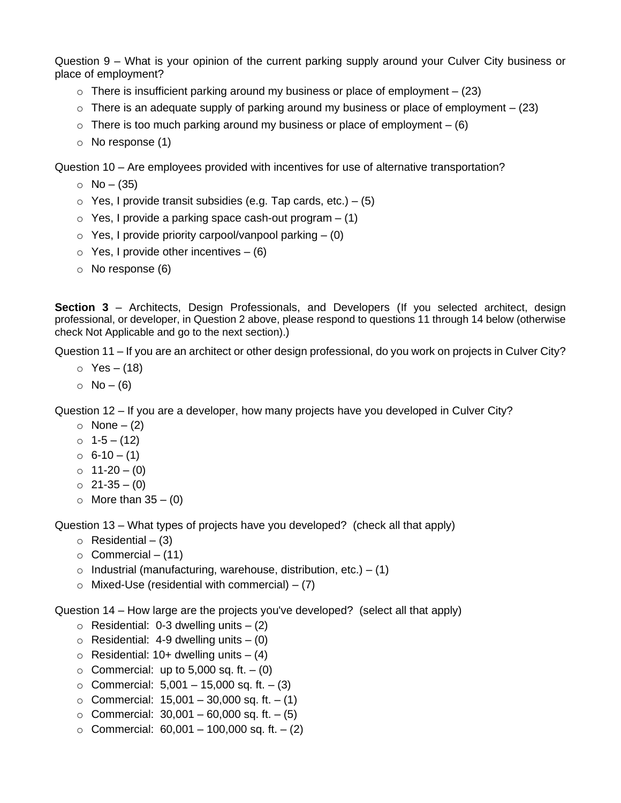Question 9 – What is your opinion of the current parking supply around your Culver City business or place of employment?

- $\circ$  There is insufficient parking around my business or place of employment (23)
- $\circ$  There is an adequate supply of parking around my business or place of employment (23)
- $\circ$  There is too much parking around my business or place of employment (6)
- o No response (1)

Question 10 – Are employees provided with incentives for use of alternative transportation?

- $O$  No (35)
- $\circ$  Yes, I provide transit subsidies (e.g. Tap cards, etc.) (5)
- $\circ$  Yes, I provide a parking space cash-out program  $-$  (1)
- $\circ$  Yes, I provide priority carpool/vanpool parking  $-$  (0)
- $\circ$  Yes, I provide other incentives (6)
- o No response (6)

**Section 3** – Architects, Design Professionals, and Developers (If you selected architect, design professional, or developer, in Question 2 above, please respond to questions 11 through 14 below (otherwise check Not Applicable and go to the next section).)

Question 11 – If you are an architect or other design professional, do you work on projects in Culver City?

- $\circ$  Yes (18)
- $O$  No (6)

Question 12 – If you are a developer, how many projects have you developed in Culver City?

- $\circ$  None (2)
- $0 \quad 1-5-(12)$
- $\circ$  6-10 (1)
- $0 11-20 (0)$
- $O$  21-35 (0)
- $\circ$  More than 35 (0)

Question 13 – What types of projects have you developed? (check all that apply)

- $\circ$  Residential (3)
- $\circ$  Commercial (11)
- $\circ$  Industrial (manufacturing, warehouse, distribution, etc.) (1)
- $\circ$  Mixed-Use (residential with commercial) (7)

Question 14 – How large are the projects you've developed? (select all that apply)

- $\circ$  Residential: 0-3 dwelling units  $-$  (2)
- $\circ$  Residential: 4-9 dwelling units  $-$  (0)
- $\circ$  Residential: 10+ dwelling units (4)
- $\circ$  Commercial: up to 5,000 sq. ft. (0)
- $\circ$  Commercial: 5,001 15,000 sq. ft. (3)
- $\circ$  Commercial: 15,001 30,000 sq. ft. (1)
- $\circ$  Commercial: 30,001 60,000 sq. ft. (5)
- $\circ$  Commercial: 60,001 100,000 sq. ft. (2)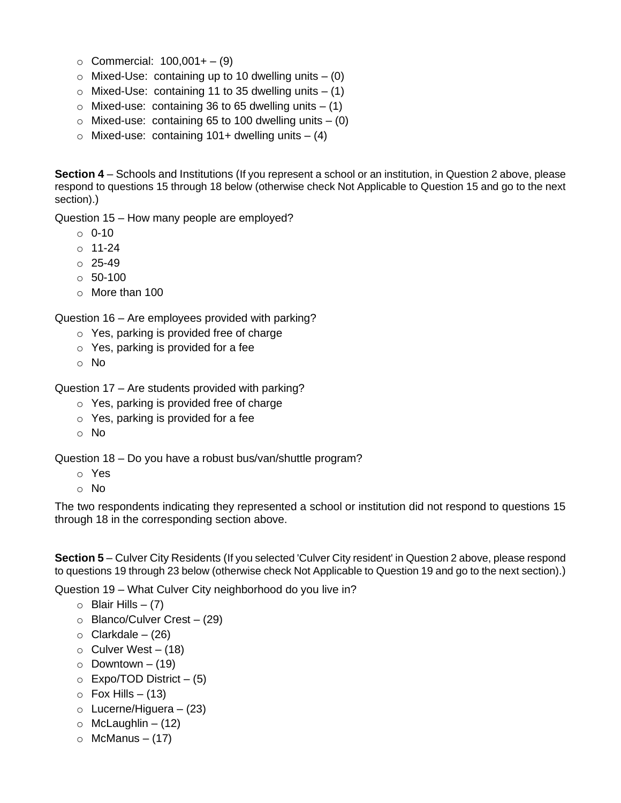- $\circ$  Commercial: 100,001+ (9)
- $\circ$  Mixed-Use: containing up to 10 dwelling units  $-$  (0)
- $\circ$  Mixed-Use: containing 11 to 35 dwelling units  $-$  (1)
- $\circ$  Mixed-use: containing 36 to 65 dwelling units  $-$  (1)
- $\circ$  Mixed-use: containing 65 to 100 dwelling units  $-$  (0)
- $\circ$  Mixed-use: containing 101+ dwelling units (4)

**Section 4** – Schools and Institutions (If you represent a school or an institution, in Question 2 above, please respond to questions 15 through 18 below (otherwise check Not Applicable to Question 15 and go to the next section).)

Question 15 – How many people are employed?

- o 0-10
- $0.11 24$
- $O 25 49$
- $\circ$  50-100
- o More than 100

Question 16 – Are employees provided with parking?

- o Yes, parking is provided free of charge
- $\circ$  Yes, parking is provided for a fee
- o No

Question 17 – Are students provided with parking?

- o Yes, parking is provided free of charge
- o Yes, parking is provided for a fee
- o No

Question 18 – Do you have a robust bus/van/shuttle program?

- o Yes
- o No

The two respondents indicating they represented a school or institution did not respond to questions 15 through 18 in the corresponding section above.

**Section 5** – Culver City Residents (If you selected 'Culver City resident' in Question 2 above, please respond to questions 19 through 23 below (otherwise check Not Applicable to Question 19 and go to the next section).)

Question 19 – What Culver City neighborhood do you live in?

- $\circ$  Blair Hills (7)
- $\circ$  Blanco/Culver Crest (29)
- $\circ$  Clarkdale (26)
- $\circ$  Culver West (18)
- $\circ$  Downtown (19)
- $\circ$  Expo/TOD District (5)
- $\circ$  Fox Hills (13)
- $\circ$  Lucerne/Higuera (23)
- $\circ$  McLaughlin (12)
- $\circ$  McManus (17)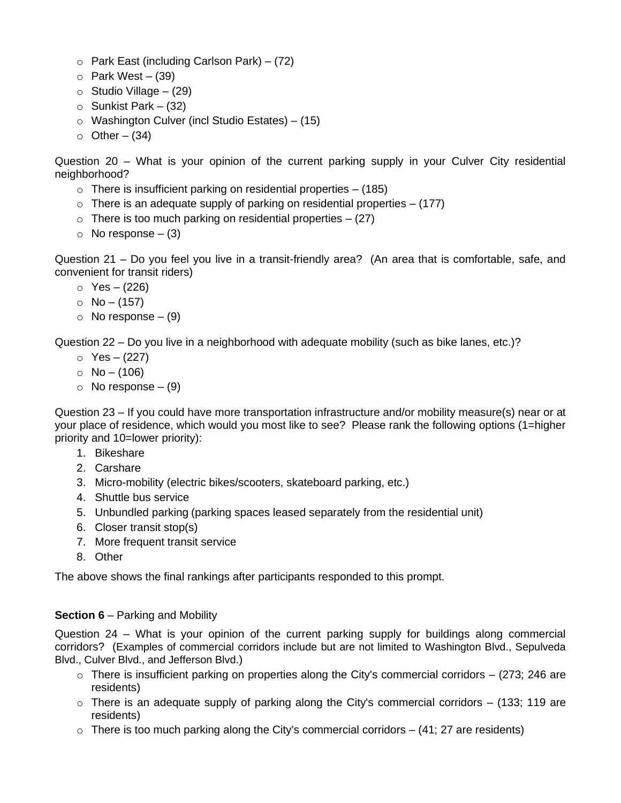- $\circ$  Park East (including Carlson Park) (72)
- $\circ$  Park West (39)
- $\circ$  Studio Village (29)
- $\circ$  Sunkist Park (32)
- o Washington Culver (incl Studio Estates) (15)
- $\circ$  Other (34)

Question 20 – What is your opinion of the current parking supply in your Culver City residential neighborhood?

- $\circ$  There is insufficient parking on residential properties  $-$  (185)
- $\circ$  There is an adequate supply of parking on residential properties  $-$  (177)
- $\circ$  There is too much parking on residential properties  $-$  (27)
- $\circ$  No response (3)

Question 21 – Do you feel you live in a transit-friendly area? (An area that is comfortable, safe, and convenient for transit riders)

- $\circ$  Yes (226)
- $O$  No (157)
- $\circ$  No response (9)

Question 22 – Do you live in a neighborhood with adequate mobility (such as bike lanes, etc.)?

- $\circ$  Yes (227)
- $O$  No (106)
- $\circ$  No response (9)

Question 23 – If you could have more transportation infrastructure and/or mobility measure(s) near or at your place of residence, which would you most like to see? Please rank the following options (1=higher priority and 10=lower priority):

- 1. Bikeshare
- 2. Carshare
- 3. Micro-mobility (electric bikes/scooters, skateboard parking, etc.)
- 4. Shuttle bus service
- 5. Unbundled parking (parking spaces leased separately from the residential unit)
- 6. Closer transit stop(s)
- 7. More frequent transit service
- 8. Other

The above shows the final rankings after participants responded to this prompt.

## **Section 6** – Parking and Mobility

Question 24 – What is your opinion of the current parking supply for buildings along commercial corridors? (Examples of commercial corridors include but are not limited to Washington Blvd., Sepulveda Blvd., Culver Blvd., and Jefferson Blvd.)

- $\circ$  There is insufficient parking on properties along the City's commercial corridors (273; 246 are residents)
- $\circ$  There is an adequate supply of parking along the City's commercial corridors (133; 119 are residents)
- $\circ$  There is too much parking along the City's commercial corridors (41; 27 are residents)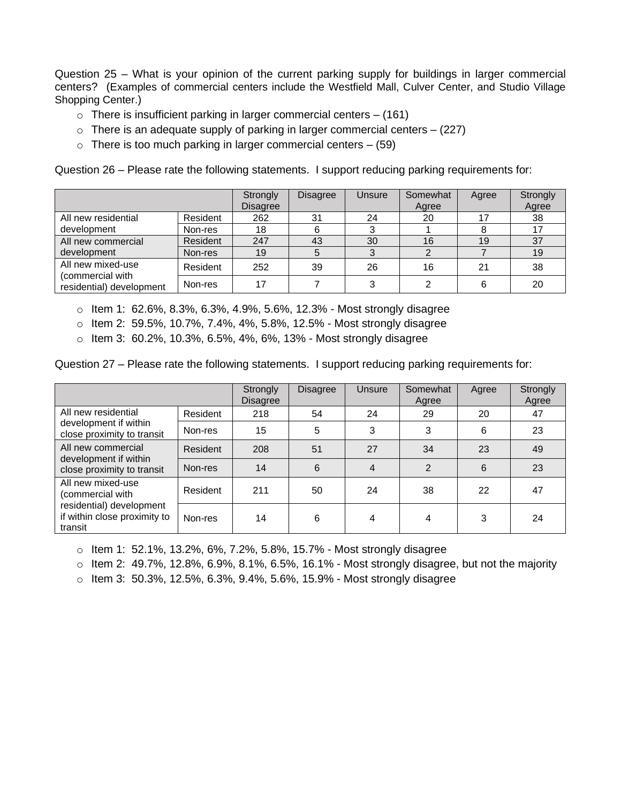Question 25 – What is your opinion of the current parking supply for buildings in larger commercial centers? (Examples of commercial centers include the Westfield Mall, Culver Center, and Studio Village Shopping Center.)

- $\circ$  There is insufficient parking in larger commercial centers (161)
- $\circ$  There is an adequate supply of parking in larger commercial centers  $-$  (227)
- $\circ$  There is too much parking in larger commercial centers (59)

Question 26 – Please rate the following statements. I support reducing parking requirements for:

|                                                                   |          | Strongly<br><b>Disagree</b> | <b>Disagree</b> | Unsure | Somewhat<br>Agree | Agree | Strongly<br>Agree |
|-------------------------------------------------------------------|----------|-----------------------------|-----------------|--------|-------------------|-------|-------------------|
| All new residential<br>development                                | Resident | 262                         | 31              | 24     | 20                |       | 38                |
|                                                                   | Non-res  | 18                          | 6               |        |                   |       |                   |
| All new commercial<br>development                                 | Resident | 247                         | 43              | 30     | 16                | 19    | 37                |
|                                                                   | Non-res  | 19                          | 5               | 3      |                   |       | 19                |
| All new mixed-use<br>(commercial with<br>residential) development | Resident | 252                         | 39              | 26     | 16                | 21    | 38                |
|                                                                   | Non-res  | 17                          |                 |        |                   |       | 20                |

o Item 1: 62.6%, 8.3%, 6.3%, 4.9%, 5.6%, 12.3% - Most strongly disagree

 $\circ$  Item 2: 59.5%, 10.7%, 7.4%, 4%, 5.8%, 12.5% - Most strongly disagree

o Item 3: 60.2%, 10.3%, 6.5%, 4%, 6%, 13% - Most strongly disagree

Question 27 – Please rate the following statements. I support reducing parking requirements for:

|                                                                                                              |          | Strongly<br><b>Disagree</b> | <b>Disagree</b> | Unsure         | Somewhat<br>Agree | Agree | Strongly<br>Agree |
|--------------------------------------------------------------------------------------------------------------|----------|-----------------------------|-----------------|----------------|-------------------|-------|-------------------|
| All new residential<br>development if within<br>close proximity to transit                                   | Resident | 218                         | 54              | 24             | 29                | 20    | 47                |
|                                                                                                              | Non-res  | 15                          | 5               | 3              | 3                 | 6     | 23                |
| All new commercial<br>development if within<br>close proximity to transit                                    | Resident | 208                         | 51              | 27             | 34                | 23    | 49                |
|                                                                                                              | Non-res  | 14                          | 6               | $\overline{4}$ | $\overline{2}$    | 6     | 23                |
| All new mixed-use<br>(commercial with<br>residential) development<br>if within close proximity to<br>transit | Resident | 211                         | 50              | 24             | 38                | 22    | 47                |
|                                                                                                              | Non-res  | 14                          | 6               | 4              | 4                 | 3     | 24                |

 $\circ$  Item 1: 52.1%, 13.2%, 6%, 7.2%, 5.8%, 15.7% - Most strongly disagree

 $\circ$  Item 2: 49.7%, 12.8%, 6.9%, 8.1%, 6.5%, 16.1% - Most strongly disagree, but not the majority

o Item 3: 50.3%, 12.5%, 6.3%, 9.4%, 5.6%, 15.9% - Most strongly disagree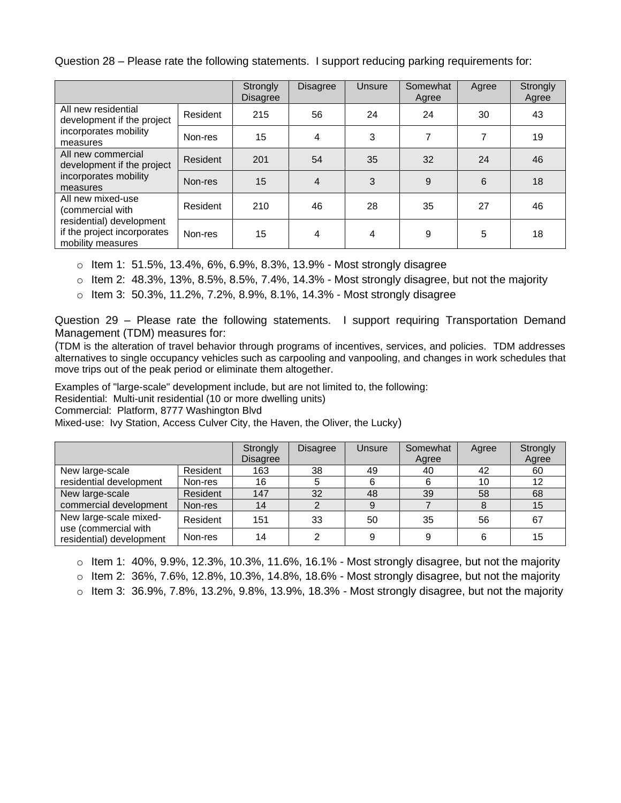Question 28 – Please rate the following statements. I support reducing parking requirements for:

|                                                                                                                       |          | Strongly<br><b>Disagree</b> | <b>Disagree</b> | Unsure | Somewhat<br>Agree | Agree | Strongly<br>Agree |
|-----------------------------------------------------------------------------------------------------------------------|----------|-----------------------------|-----------------|--------|-------------------|-------|-------------------|
| All new residential<br>development if the project<br>incorporates mobility<br>measures                                | Resident | 215                         | 56              | 24     | 24                | 30    | 43                |
|                                                                                                                       | Non-res  | 15                          | 4               | 3      | 7                 | 7     | 19                |
| All new commercial<br>development if the project<br>incorporates mobility<br>measures                                 | Resident | 201                         | 54              | 35     | 32                | 24    | 46                |
|                                                                                                                       | Non-res  | 15                          | 4               | 3      | 9                 | 6     | 18                |
| All new mixed-use<br>(commercial with<br>residential) development<br>if the project incorporates<br>mobility measures | Resident | 210                         | 46              | 28     | 35                | 27    | 46                |
|                                                                                                                       | Non-res  | 15                          | 4               | 4      | 9                 | 5     | 18                |

o Item 1: 51.5%, 13.4%, 6%, 6.9%, 8.3%, 13.9% - Most strongly disagree

 $\circ$  Item 2: 48.3%, 13%, 8.5%, 8.5%, 7.4%, 14.3% - Most strongly disagree, but not the majority

o Item 3: 50.3%, 11.2%, 7.2%, 8.9%, 8.1%, 14.3% - Most strongly disagree

Question 29 – Please rate the following statements. I support requiring Transportation Demand Management (TDM) measures for:

(TDM is the alteration of travel behavior through programs of incentives, services, and policies. TDM addresses alternatives to single occupancy vehicles such as carpooling and vanpooling, and changes in work schedules that move trips out of the peak period or eliminate them altogether.

Examples of "large-scale" development include, but are not limited to, the following:

Residential: Multi-unit residential (10 or more dwelling units)

Commercial: Platform, 8777 Washington Blvd

Mixed-use: Ivy Station, Access Culver City, the Haven, the Oliver, the Lucky)

|                                                                            |          | Strongly<br><b>Disagree</b> | <b>Disagree</b> | Unsure | Somewhat<br>Agree | Agree | Strongly<br>Agree |
|----------------------------------------------------------------------------|----------|-----------------------------|-----------------|--------|-------------------|-------|-------------------|
| New large-scale<br>residential development                                 | Resident | 163                         | 38              | 49     | 40                | 42    | 60                |
|                                                                            | Non-res  | 16                          | 5               | 6      | 6                 | 10    | 12                |
| New large-scale<br>commercial development                                  | Resident | 147                         | 32              | 48     | 39                | 58    | 68                |
|                                                                            | Non-res  | 14                          | 2               |        |                   | 8     | 15                |
| New large-scale mixed-<br>use (commercial with<br>residential) development | Resident | 151                         | 33              | 50     | 35                | 56    | 67                |
|                                                                            | Non-res  | 14                          | ົ               |        | 9                 | 6     | 15                |

 $\circ$  Item 1: 40%, 9.9%, 12.3%, 10.3%, 11.6%, 16.1% - Most strongly disagree, but not the majority

 $\circ$  Item 2: 36%, 7.6%, 12.8%, 10.3%, 14.8%, 18.6% - Most strongly disagree, but not the majority

 $\circ$  Item 3: 36.9%, 7.8%, 13.2%, 9.8%, 13.9%, 18.3% - Most strongly disagree, but not the majority